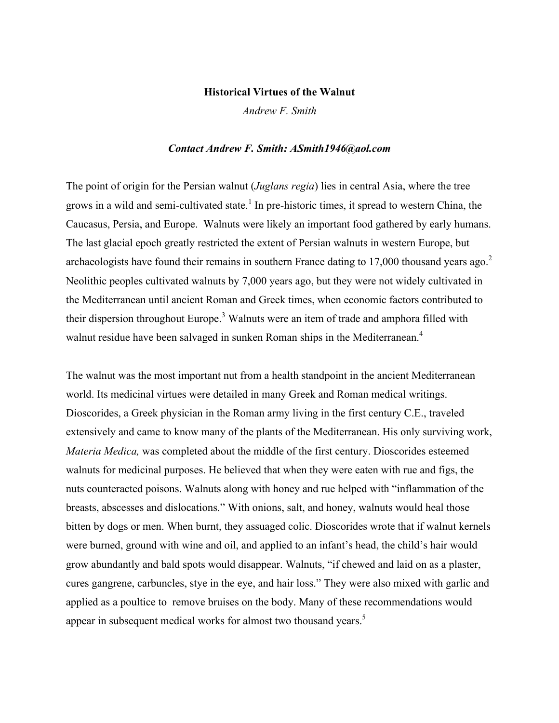### **Historical Virtues of the Walnut**

*Andrew F. Smith*

### *Contact Andrew F. Smith: ASmith1946@aol.com*

The point of origin for the Persian walnut (*Juglans regia*) lies in central Asia, where the tree grows in a wild and semi-cultivated state.<sup>1</sup> In pre-historic times, it spread to western China, the Caucasus, Persia, and Europe. Walnuts were likely an important food gathered by early humans. The last glacial epoch greatly restricted the extent of Persian walnuts in western Europe, but archaeologists have found their remains in southern France dating to 17,000 thousand years ago.<sup>2</sup> Neolithic peoples cultivated walnuts by 7,000 years ago, but they were not widely cultivated in the Mediterranean until ancient Roman and Greek times, when economic factors contributed to their dispersion throughout Europe.<sup>3</sup> Walnuts were an item of trade and amphora filled with walnut residue have been salvaged in sunken Roman ships in the Mediterranean.<sup>4</sup>

The walnut was the most important nut from a health standpoint in the ancient Mediterranean world. Its medicinal virtues were detailed in many Greek and Roman medical writings. Dioscorides, a Greek physician in the Roman army living in the first century C.E., traveled extensively and came to know many of the plants of the Mediterranean. His only surviving work, *Materia Medica,* was completed about the middle of the first century. Dioscorides esteemed walnuts for medicinal purposes. He believed that when they were eaten with rue and figs, the nuts counteracted poisons. Walnuts along with honey and rue helped with "inflammation of the breasts, abscesses and dislocations." With onions, salt, and honey, walnuts would heal those bitten by dogs or men. When burnt, they assuaged colic. Dioscorides wrote that if walnut kernels were burned, ground with wine and oil, and applied to an infant's head, the child's hair would grow abundantly and bald spots would disappear. Walnuts, "if chewed and laid on as a plaster, cures gangrene, carbuncles, stye in the eye, and hair loss." They were also mixed with garlic and applied as a poultice to remove bruises on the body. Many of these recommendations would appear in subsequent medical works for almost two thousand years.<sup>5</sup>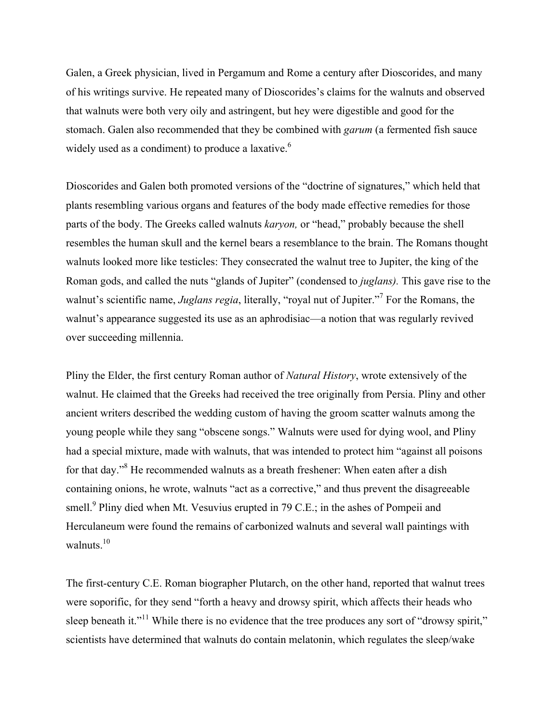Galen, a Greek physician, lived in Pergamum and Rome a century after Dioscorides, and many of his writings survive. He repeated many of Dioscorides's claims for the walnuts and observed that walnuts were both very oily and astringent, but hey were digestible and good for the stomach. Galen also recommended that they be combined with *garum* (a fermented fish sauce widely used as a condiment) to produce a laxative.<sup>6</sup>

Dioscorides and Galen both promoted versions of the "doctrine of signatures," which held that plants resembling various organs and features of the body made effective remedies for those parts of the body. The Greeks called walnuts *karyon,* or "head," probably because the shell resembles the human skull and the kernel bears a resemblance to the brain. The Romans thought walnuts looked more like testicles: They consecrated the walnut tree to Jupiter, the king of the Roman gods, and called the nuts "glands of Jupiter" (condensed to *juglans).* This gave rise to the walnut's scientific name, *Juglans regia*, literally, "royal nut of Jupiter."<sup>7</sup> For the Romans, the walnut's appearance suggested its use as an aphrodisiac—a notion that was regularly revived over succeeding millennia.

Pliny the Elder, the first century Roman author of *Natural History*, wrote extensively of the walnut. He claimed that the Greeks had received the tree originally from Persia. Pliny and other ancient writers described the wedding custom of having the groom scatter walnuts among the young people while they sang "obscene songs." Walnuts were used for dying wool, and Pliny had a special mixture, made with walnuts, that was intended to protect him "against all poisons for that day."8 He recommended walnuts as a breath freshener: When eaten after a dish containing onions, he wrote, walnuts "act as a corrective," and thus prevent the disagreeable smell.<sup>9</sup> Pliny died when Mt. Vesuvius erupted in 79 C.E.; in the ashes of Pompeii and Herculaneum were found the remains of carbonized walnuts and several wall paintings with walnuts $10$ 

The first-century C.E. Roman biographer Plutarch, on the other hand, reported that walnut trees were soporific, for they send "forth a heavy and drowsy spirit, which affects their heads who sleep beneath it."<sup>11</sup> While there is no evidence that the tree produces any sort of "drowsy spirit," scientists have determined that walnuts do contain melatonin, which regulates the sleep/wake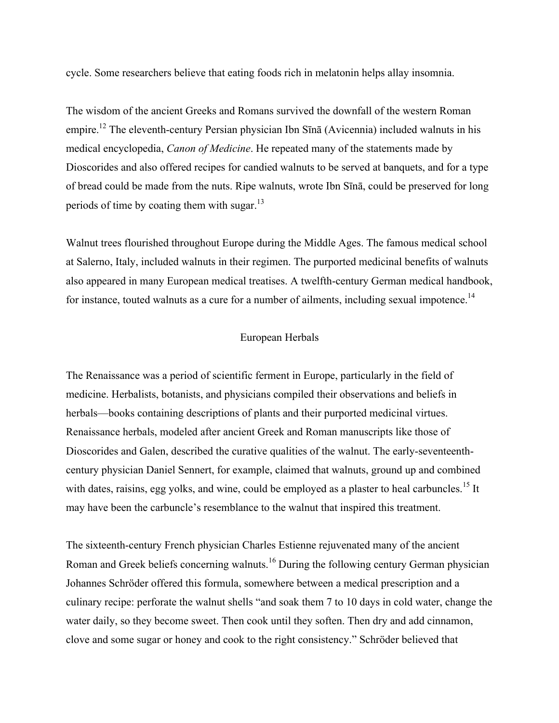cycle. Some researchers believe that eating foods rich in melatonin helps allay insomnia.

The wisdom of the ancient Greeks and Romans survived the downfall of the western Roman empire.12 The eleventh-century Persian physician Ibn Sīnā (Avicennia) included walnuts in his medical encyclopedia, *Canon of Medicine*. He repeated many of the statements made by Dioscorides and also offered recipes for candied walnuts to be served at banquets, and for a type of bread could be made from the nuts. Ripe walnuts, wrote Ibn Sīnā, could be preserved for long periods of time by coating them with sugar. $^{13}$ 

Walnut trees flourished throughout Europe during the Middle Ages. The famous medical school at Salerno, Italy, included walnuts in their regimen. The purported medicinal benefits of walnuts also appeared in many European medical treatises. A twelfth-century German medical handbook, for instance, touted walnuts as a cure for a number of ailments, including sexual impotence.<sup>14</sup>

## European Herbals

The Renaissance was a period of scientific ferment in Europe, particularly in the field of medicine. Herbalists, botanists, and physicians compiled their observations and beliefs in herbals—books containing descriptions of plants and their purported medicinal virtues. Renaissance herbals, modeled after ancient Greek and Roman manuscripts like those of Dioscorides and Galen, described the curative qualities of the walnut. The early-seventeenthcentury physician Daniel Sennert, for example, claimed that walnuts, ground up and combined with dates, raisins, egg yolks, and wine, could be employed as a plaster to heal carbuncles.<sup>15</sup> It may have been the carbuncle's resemblance to the walnut that inspired this treatment.

The sixteenth-century French physician Charles Estienne rejuvenated many of the ancient Roman and Greek beliefs concerning walnuts.<sup>16</sup> During the following century German physician Johannes Schröder offered this formula, somewhere between a medical prescription and a culinary recipe: perforate the walnut shells "and soak them 7 to 10 days in cold water, change the water daily, so they become sweet. Then cook until they soften. Then dry and add cinnamon, clove and some sugar or honey and cook to the right consistency." Schröder believed that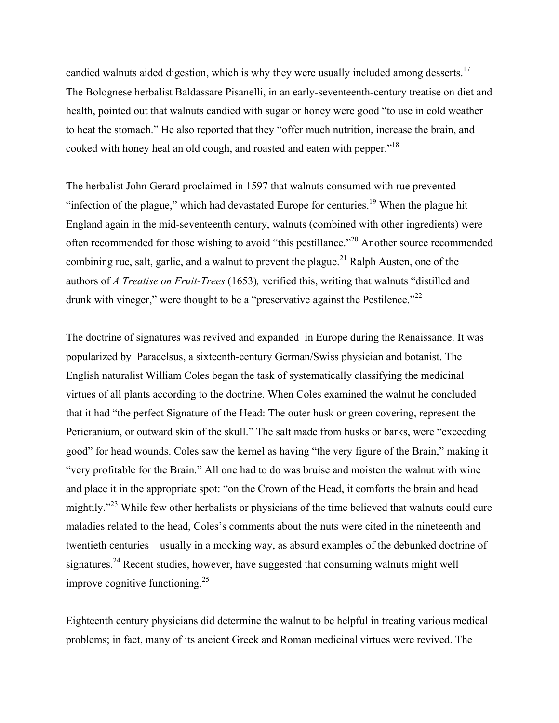candied walnuts aided digestion, which is why they were usually included among desserts.<sup>17</sup> The Bolognese herbalist Baldassare Pisanelli, in an early-seventeenth-century treatise on diet and health, pointed out that walnuts candied with sugar or honey were good "to use in cold weather to heat the stomach." He also reported that they "offer much nutrition, increase the brain, and cooked with honey heal an old cough, and roasted and eaten with pepper."<sup>18</sup>

The herbalist John Gerard proclaimed in 1597 that walnuts consumed with rue prevented "infection of the plague," which had devastated Europe for centuries.<sup>19</sup> When the plague hit England again in the mid-seventeenth century, walnuts (combined with other ingredients) were often recommended for those wishing to avoid "this pestillance."20 Another source recommended combining rue, salt, garlic, and a walnut to prevent the plague.<sup>21</sup> Ralph Austen, one of the authors of *A Treatise on Fruit-Trees* (1653)*,* verified this, writing that walnuts "distilled and drunk with vineger," were thought to be a "preservative against the Pestilence."<sup>22</sup>

The doctrine of signatures was revived and expanded in Europe during the Renaissance. It was popularized by Paracelsus, a sixteenth-century German/Swiss physician and botanist. The English naturalist William Coles began the task of systematically classifying the medicinal virtues of all plants according to the doctrine. When Coles examined the walnut he concluded that it had "the perfect Signature of the Head: The outer husk or green covering, represent the Pericranium, or outward skin of the skull." The salt made from husks or barks, were "exceeding good" for head wounds. Coles saw the kernel as having "the very figure of the Brain," making it "very profitable for the Brain." All one had to do was bruise and moisten the walnut with wine and place it in the appropriate spot: "on the Crown of the Head, it comforts the brain and head mightily."<sup>23</sup> While few other herbalists or physicians of the time believed that walnuts could cure maladies related to the head, Coles's comments about the nuts were cited in the nineteenth and twentieth centuries—usually in a mocking way, as absurd examples of the debunked doctrine of signatures.<sup>24</sup> Recent studies, however, have suggested that consuming walnuts might well improve cognitive functioning.<sup>25</sup>

Eighteenth century physicians did determine the walnut to be helpful in treating various medical problems; in fact, many of its ancient Greek and Roman medicinal virtues were revived. The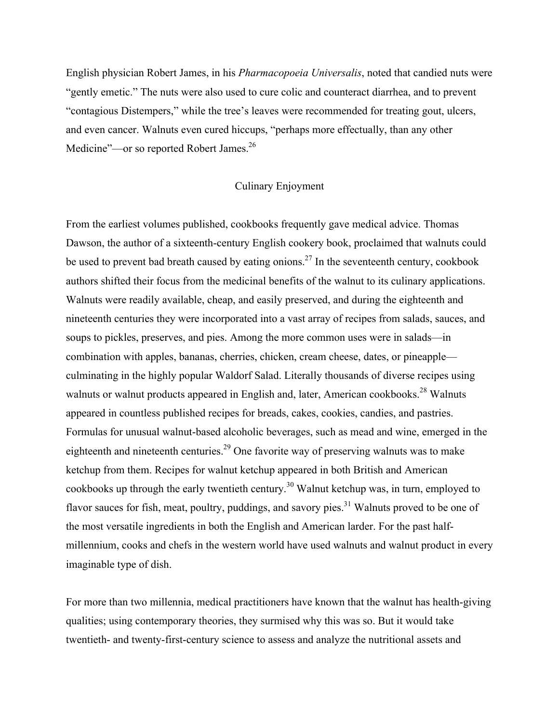English physician Robert James, in his *Pharmacopoeia Universalis*, noted that candied nuts were "gently emetic." The nuts were also used to cure colic and counteract diarrhea, and to prevent "contagious Distempers," while the tree's leaves were recommended for treating gout, ulcers, and even cancer. Walnuts even cured hiccups, "perhaps more effectually, than any other Medicine"—or so reported Robert James.<sup>26</sup>

# Culinary Enjoyment

From the earliest volumes published, cookbooks frequently gave medical advice. Thomas Dawson, the author of a sixteenth-century English cookery book, proclaimed that walnuts could be used to prevent bad breath caused by eating onions.<sup>27</sup> In the seventeenth century, cookbook authors shifted their focus from the medicinal benefits of the walnut to its culinary applications. Walnuts were readily available, cheap, and easily preserved, and during the eighteenth and nineteenth centuries they were incorporated into a vast array of recipes from salads, sauces, and soups to pickles, preserves, and pies. Among the more common uses were in salads—in combination with apples, bananas, cherries, chicken, cream cheese, dates, or pineapple culminating in the highly popular Waldorf Salad. Literally thousands of diverse recipes using walnuts or walnut products appeared in English and, later, American cookbooks.<sup>28</sup> Walnuts appeared in countless published recipes for breads, cakes, cookies, candies, and pastries. Formulas for unusual walnut-based alcoholic beverages, such as mead and wine, emerged in the eighteenth and nineteenth centuries.<sup>29</sup> One favorite way of preserving walnuts was to make ketchup from them. Recipes for walnut ketchup appeared in both British and American cookbooks up through the early twentieth century.<sup>30</sup> Walnut ketchup was, in turn, employed to flavor sauces for fish, meat, poultry, puddings, and savory pies.<sup>31</sup> Walnuts proved to be one of the most versatile ingredients in both the English and American larder. For the past halfmillennium, cooks and chefs in the western world have used walnuts and walnut product in every imaginable type of dish.

For more than two millennia, medical practitioners have known that the walnut has health-giving qualities; using contemporary theories, they surmised why this was so. But it would take twentieth- and twenty-first-century science to assess and analyze the nutritional assets and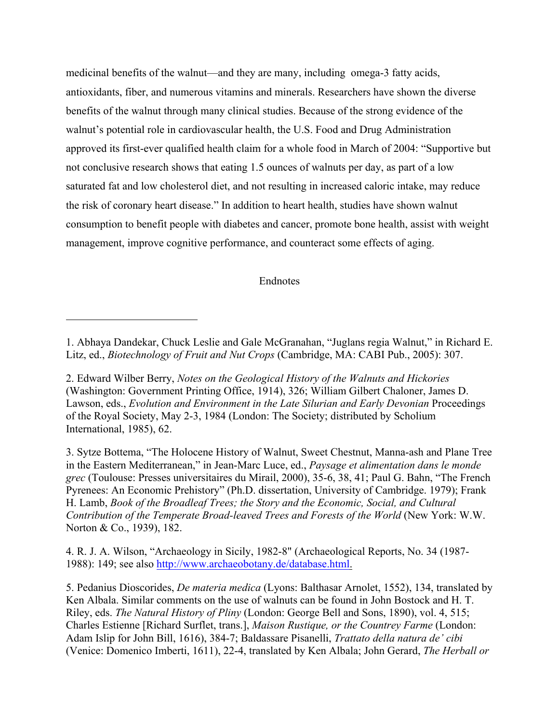medicinal benefits of the walnut—and they are many, including omega-3 fatty acids, antioxidants, fiber, and numerous vitamins and minerals. Researchers have shown the diverse benefits of the walnut through many clinical studies. Because of the strong evidence of the walnut's potential role in cardiovascular health, the U.S. Food and Drug Administration approved its first-ever qualified health claim for a whole food in March of 2004: "Supportive but not conclusive research shows that eating 1.5 ounces of walnuts per day, as part of a low saturated fat and low cholesterol diet, and not resulting in increased caloric intake, may reduce the risk of coronary heart disease." In addition to heart health, studies have shown walnut consumption to benefit people with diabetes and cancer, promote bone health, assist with weight management, improve cognitive performance, and counteract some effects of aging.

# Endnotes

1

3. Sytze Bottema, "The Holocene History of Walnut, Sweet Chestnut, Manna-ash and Plane Tree in the Eastern Mediterranean," in Jean-Marc Luce, ed., *Paysage et alimentation dans le monde grec* (Toulouse: Presses universitaires du Mirail, 2000), 35-6, 38, 41; Paul G. Bahn, "The French Pyrenees: An Economic Prehistory" (Ph.D. dissertation, University of Cambridge. 1979); Frank H. Lamb, *Book of the Broadleaf Trees; the Story and the Economic, Social, and Cultural Contribution of the Temperate Broad-leaved Trees and Forests of the World* (New York: W.W. Norton & Co., 1939), 182.

4. R. J. A. Wilson, "Archaeology in Sicily, 1982-8" (Archaeological Reports, No. 34 (1987- 1988): 149; see also http://www.archaeobotany.de/database.html.

<sup>1.</sup> Abhaya Dandekar, Chuck Leslie and Gale McGranahan, "Juglans regia Walnut," in Richard E. Litz, ed., *Biotechnology of Fruit and Nut Crops* (Cambridge, MA: CABI Pub., 2005): 307.

<sup>2.</sup> Edward Wilber Berry, *Notes on the Geological History of the Walnuts and Hickories* (Washington: Government Printing Office, 1914), 326; William Gilbert Chaloner, James D. Lawson, eds., *Evolution and Environment in the Late Silurian and Early Devonian* Proceedings of the Royal Society, May 2-3, 1984 (London: The Society; distributed by Scholium International, 1985), 62.

<sup>5.</sup> Pedanius Dioscorides, *De materia medica* (Lyons: Balthasar Arnolet, 1552), 134, translated by Ken Albala. Similar comments on the use of walnuts can be found in John Bostock and H. T. Riley, eds. *The Natural History of Pliny* (London: George Bell and Sons, 1890), vol. 4, 515; Charles Estienne [Richard Surflet, trans.], *Maison Rustique, or the Countrey Farme* (London: Adam Islip for John Bill, 1616), 384-7; Baldassare Pisanelli, *Trattato della natura de' cibi* (Venice: Domenico Imberti, 1611), 22-4, translated by Ken Albala; John Gerard, *The Herball or*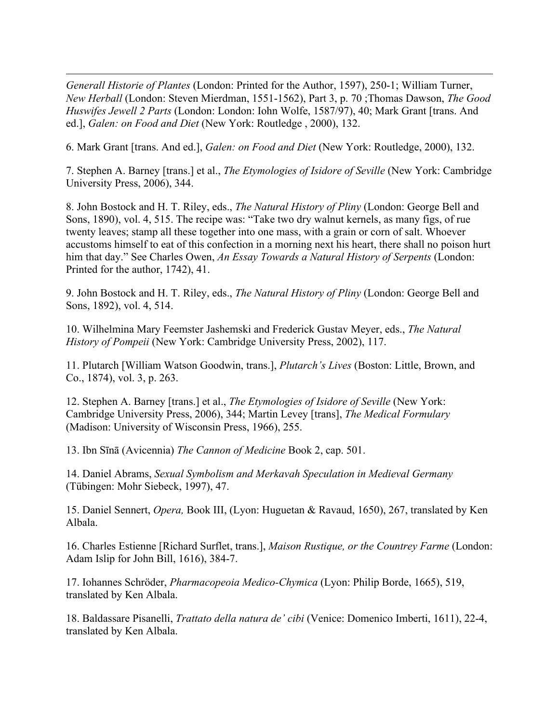<u>.</u> *Generall Historie of Plantes* (London: Printed for the Author, 1597), 250-1; William Turner, *New Herball* (London: Steven Mierdman, 1551-1562), Part 3, p. 70 ;Thomas Dawson, *The Good Huswifes Jewell 2 Parts* (London: London: Iohn Wolfe, 1587/97), 40; Mark Grant [trans. And ed.], *Galen: on Food and Diet* (New York: Routledge , 2000), 132.

6. Mark Grant [trans. And ed.], *Galen: on Food and Diet* (New York: Routledge, 2000), 132.

7. Stephen A. Barney [trans.] et al., *The Etymologies of Isidore of Seville* (New York: Cambridge University Press, 2006), 344.

8. John Bostock and H. T. Riley, eds., *The Natural History of Pliny* (London: George Bell and Sons, 1890), vol. 4, 515. The recipe was: "Take two dry walnut kernels, as many figs, of rue twenty leaves; stamp all these together into one mass, with a grain or corn of salt. Whoever accustoms himself to eat of this confection in a morning next his heart, there shall no poison hurt him that day." See Charles Owen, *An Essay Towards a Natural History of Serpents* (London: Printed for the author, 1742), 41.

9. John Bostock and H. T. Riley, eds., *The Natural History of Pliny* (London: George Bell and Sons, 1892), vol. 4, 514.

10. Wilhelmina Mary Feemster Jashemski and Frederick Gustav Meyer, eds., *The Natural History of Pompeii* (New York: Cambridge University Press, 2002), 117.

11. Plutarch [William Watson Goodwin, trans.], *Plutarch's Lives* (Boston: Little, Brown, and Co., 1874), vol. 3, p. 263.

12. Stephen A. Barney [trans.] et al., *The Etymologies of Isidore of Seville* (New York: Cambridge University Press, 2006), 344; Martin Levey [trans], *The Medical Formulary* (Madison: University of Wisconsin Press, 1966), 255.

13. Ibn Sīnā (Avicennia) *The Cannon of Medicine* Book 2, cap. 501.

14. Daniel Abrams, *Sexual Symbolism and Merkavah Speculation in Medieval Germany* (Tübingen: Mohr Siebeck, 1997), 47.

15. Daniel Sennert, *Opera,* Book III, (Lyon: Huguetan & Ravaud, 1650), 267, translated by Ken Albala.

16. Charles Estienne [Richard Surflet, trans.], *Maison Rustique, or the Countrey Farme* (London: Adam Islip for John Bill, 1616), 384-7.

17. Iohannes Schröder, *Pharmacopeoia Medico-Chymica* (Lyon: Philip Borde, 1665), 519, translated by Ken Albala.

18. Baldassare Pisanelli, *Trattato della natura de' cibi* (Venice: Domenico Imberti, 1611), 22-4, translated by Ken Albala.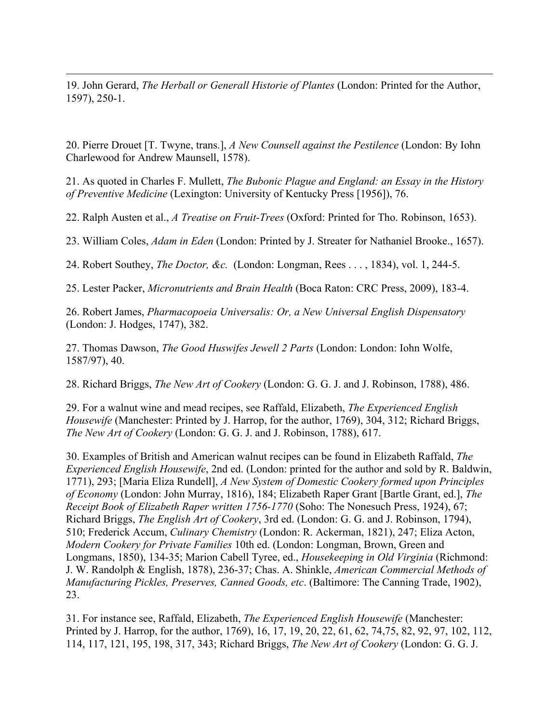19. John Gerard, *The Herball or Generall Historie of Plantes* (London: Printed for the Author, 1597), 250-1.

<u>.</u>

20. Pierre Drouet [T. Twyne, trans.], *A New Counsell against the Pestilence* (London: By Iohn Charlewood for Andrew Maunsell, 1578).

21. As quoted in Charles F. Mullett, *The Bubonic Plague and England: an Essay in the History of Preventive Medicine* (Lexington: University of Kentucky Press [1956]), 76.

22. Ralph Austen et al., *A Treatise on Fruit-Trees* (Oxford: Printed for Tho. Robinson, 1653).

23. William Coles, *Adam in Eden* (London: Printed by J. Streater for Nathaniel Brooke., 1657).

24. Robert Southey, *The Doctor, &c.* (London: Longman, Rees . . . , 1834), vol. 1, 244-5.

25. Lester Packer, *Micronutrients and Brain Health* (Boca Raton: CRC Press, 2009), 183-4.

26. Robert James, *Pharmacopoeia Universalis: Or, a New Universal English Dispensatory* (London: J. Hodges, 1747), 382.

27. Thomas Dawson, *The Good Huswifes Jewell 2 Parts* (London: London: Iohn Wolfe, 1587/97), 40.

28. Richard Briggs, *The New Art of Cookery* (London: G. G. J. and J. Robinson, 1788), 486.

29. For a walnut wine and mead recipes, see Raffald, Elizabeth, *The Experienced English Housewife* (Manchester: Printed by J. Harrop, for the author, 1769), 304, 312; Richard Briggs, *The New Art of Cookery* (London: G. G. J. and J. Robinson, 1788), 617.

30. Examples of British and American walnut recipes can be found in Elizabeth Raffald, *The Experienced English Housewife*, 2nd ed. (London: printed for the author and sold by R. Baldwin, 1771), 293; [Maria Eliza Rundell], *A New System of Domestic Cookery formed upon Principles of Economy* (London: John Murray, 1816), 184; Elizabeth Raper Grant [Bartle Grant, ed.], *The Receipt Book of Elizabeth Raper written 1756-1770* (Soho: The Nonesuch Press, 1924), 67; Richard Briggs, *The English Art of Cookery*, 3rd ed. (London: G. G. and J. Robinson, 1794), 510; Frederick Accum, *Culinary Chemistry* (London: R. Ackerman, 1821), 247; Eliza Acton, *Modern Cookery for Private Families* 10th ed. (London: Longman, Brown, Green and Longmans, 1850), 134-35; Marion Cabell Tyree, ed., *Housekeeping in Old Virginia* (Richmond: J. W. Randolph & English, 1878), 236-37; Chas. A. Shinkle, *American Commercial Methods of Manufacturing Pickles, Preserves, Canned Goods, etc*. (Baltimore: The Canning Trade, 1902), 23.

31. For instance see, Raffald, Elizabeth, *The Experienced English Housewife* (Manchester: Printed by J. Harrop, for the author, 1769), 16, 17, 19, 20, 22, 61, 62, 74,75, 82, 92, 97, 102, 112, 114, 117, 121, 195, 198, 317, 343; Richard Briggs, *The New Art of Cookery* (London: G. G. J.